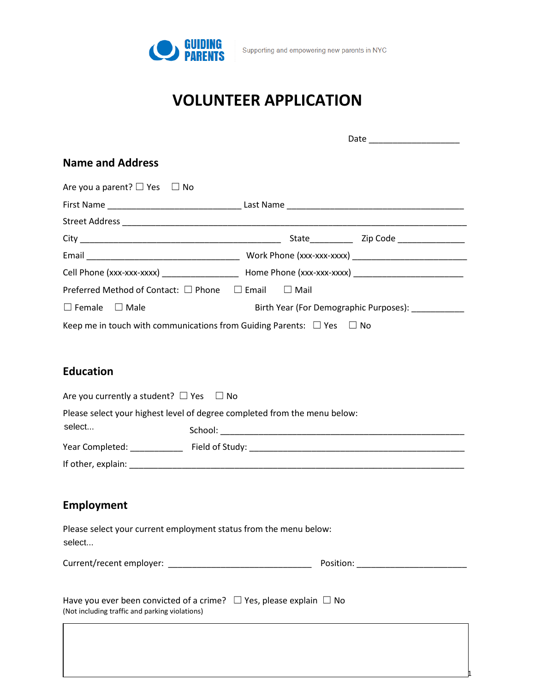

|                                                                                                                                        | Date _____________________                                                                          |
|----------------------------------------------------------------------------------------------------------------------------------------|-----------------------------------------------------------------------------------------------------|
| <b>Name and Address</b>                                                                                                                |                                                                                                     |
| Are you a parent? $\square$ Yes<br>$\Box$ No                                                                                           |                                                                                                     |
|                                                                                                                                        |                                                                                                     |
|                                                                                                                                        |                                                                                                     |
|                                                                                                                                        |                                                                                                     |
|                                                                                                                                        |                                                                                                     |
|                                                                                                                                        | Cell Phone (xxx-xxx-xxxx) _______________________ Home Phone (xxx-xxx-xxxx) _______________________ |
| Preferred Method of Contact: $\square$ Phone $\square$ Email                                                                           | $\Box$ Mail                                                                                         |
| $\square$ Female<br>$\square$ Male                                                                                                     | Birth Year (For Demographic Purposes): ___________                                                  |
| Keep me in touch with communications from Guiding Parents: $\Box$ Yes $\Box$ No                                                        |                                                                                                     |
| Are you currently a student? $\Box$ Yes<br>⊟ No<br>Please select your highest level of degree completed from the menu below:<br>select |                                                                                                     |
|                                                                                                                                        |                                                                                                     |
|                                                                                                                                        |                                                                                                     |
|                                                                                                                                        |                                                                                                     |
| <b>Employment</b>                                                                                                                      |                                                                                                     |
| Please select your current employment status from the menu below:<br>select                                                            |                                                                                                     |
|                                                                                                                                        |                                                                                                     |
| Have you ever been convicted of a crime? $\Box$ Yes, please explain $\Box$ No<br>(Not including traffic and parking violations)        |                                                                                                     |

1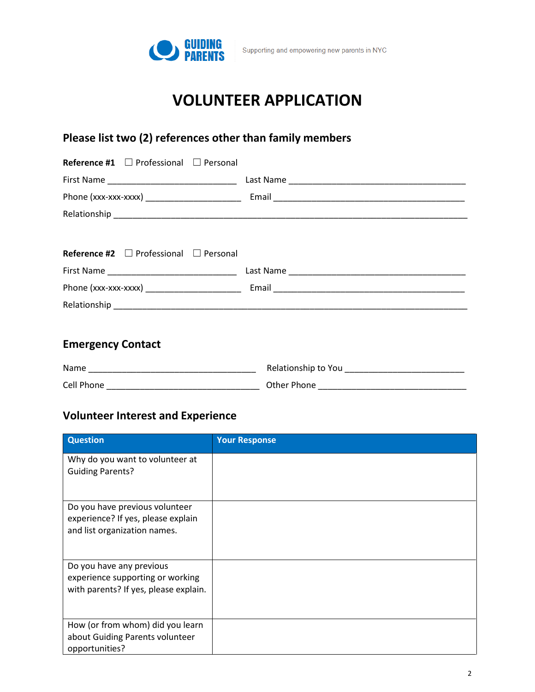

### **Please list two (2) references other than family members**

| <b>Reference #1</b> $\Box$ Professional $\Box$ Personal |  |
|---------------------------------------------------------|--|
|                                                         |  |
|                                                         |  |
|                                                         |  |
|                                                         |  |
| <b>Reference #2</b> $\Box$ Professional $\Box$ Personal |  |
|                                                         |  |
|                                                         |  |
|                                                         |  |
|                                                         |  |

### **Emergency Contact**

| Name       | Relationship to You |
|------------|---------------------|
| Cell Phone | Other Phone         |

### **Volunteer Interest and Experience**

| <b>Question</b>                                                                                       | <b>Your Response</b> |
|-------------------------------------------------------------------------------------------------------|----------------------|
| Why do you want to volunteer at<br><b>Guiding Parents?</b>                                            |                      |
| Do you have previous volunteer<br>experience? If yes, please explain<br>and list organization names.  |                      |
| Do you have any previous<br>experience supporting or working<br>with parents? If yes, please explain. |                      |
| How (or from whom) did you learn<br>about Guiding Parents volunteer<br>opportunities?                 |                      |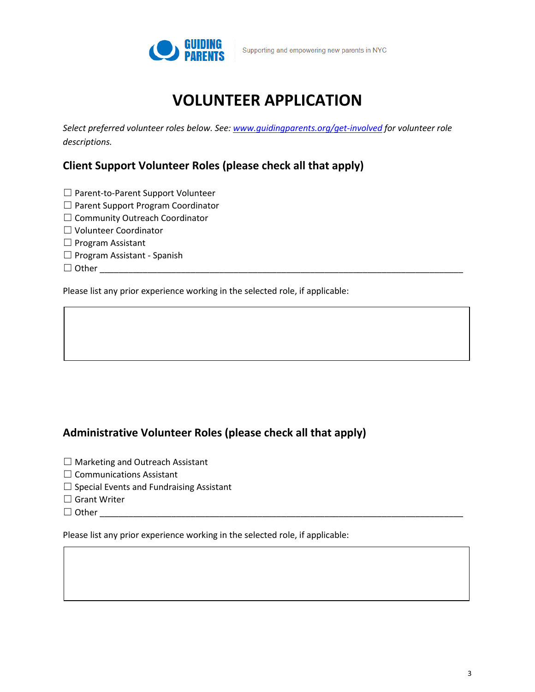

*Select preferred volunteer roles below. See: [www.guidingparents.org/get-involved](http://www.guidingparents.org/get-involved) for volunteer role descriptions.*

#### **Client Support Volunteer Roles (please check all that apply)**

- ☐ Parent-to-Parent Support Volunteer
- ☐ Parent Support Program Coordinator
- ☐ Community Outreach Coordinator
- ☐ Volunteer Coordinator
- ☐ Program Assistant
- ☐ Program Assistant Spanish
- ☐ Other \_\_\_\_\_\_\_\_\_\_\_\_\_\_\_\_\_\_\_\_\_\_\_\_\_\_\_\_\_\_\_\_\_\_\_\_\_\_\_\_\_\_\_\_\_\_\_\_\_\_\_\_\_\_\_\_\_\_\_\_\_\_\_\_\_\_\_\_\_\_\_\_\_\_\_\_

Please list any prior experience working in the selected role, if applicable:

#### **Administrative Volunteer Roles (please check all that apply)**

- ☐ Marketing and Outreach Assistant
- □ Communications Assistant
- $\Box$  Special Events and Fundraising Assistant
- □ Grant Writer
- $\Box$  Other

Please list any prior experience working in the selected role, if applicable: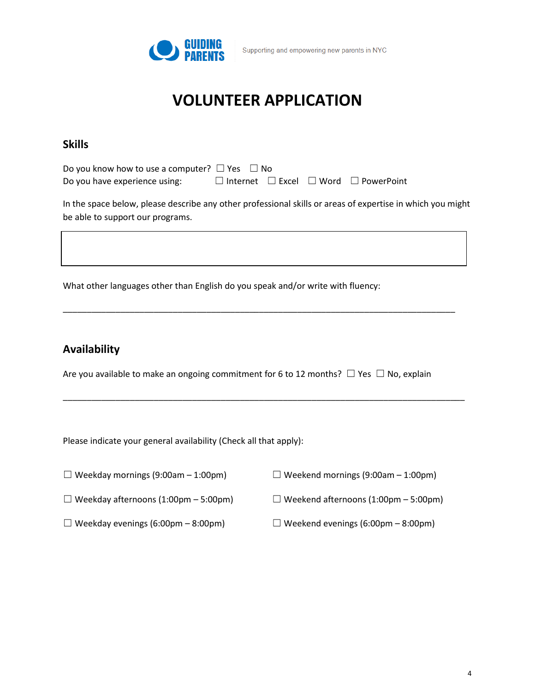

#### **Skills**

| Do you know how to use a computer? $\Box$ Yes $\Box$ No |  |                                                            |
|---------------------------------------------------------|--|------------------------------------------------------------|
| Do you have experience using:                           |  | $\Box$ Internet $\Box$ Excel $\Box$ Word $\Box$ PowerPoint |

In the space below, please describe any other professional skills or areas of expertise in which you might be able to support our programs.

What other languages other than English do you speak and/or write with fluency:

#### **Availability**

Are you available to make an ongoing commitment for 6 to 12 months?☐ Yes ☐ No, explain

\_\_\_\_\_\_\_\_\_\_\_\_\_\_\_\_\_\_\_\_\_\_\_\_\_\_\_\_\_\_\_\_\_\_\_\_\_\_\_\_\_\_\_\_\_\_\_\_\_\_\_\_\_\_\_\_\_\_\_\_\_\_\_\_\_\_\_\_\_\_\_\_\_\_\_\_\_\_\_\_\_\_\_\_

\_\_\_\_\_\_\_\_\_\_\_\_\_\_\_\_\_\_\_\_\_\_\_\_\_\_\_\_\_\_\_\_\_\_\_\_\_\_\_\_\_\_\_\_\_\_\_\_\_\_\_\_\_\_\_\_\_\_\_\_\_\_\_\_\_\_\_\_\_\_\_\_\_\_\_\_\_\_\_\_\_\_

Please indicate your general availability (Check all that apply):

| $\Box$ Weekday mornings (9:00am – 1:00pm) | $\Box$ Weekend mornings (9:00am – 1:00pm) |
|-------------------------------------------|-------------------------------------------|
|                                           |                                           |

 $\Box$  Weekday afternoons (1:00pm – 5:00pm)  $\Box$  Weekend afternoons (1:00pm – 5:00pm)

- 
- $\Box$  Weekday evenings (6:00pm 8:00pm)  $\Box$  Weekend evenings (6:00pm 8:00pm)
	-